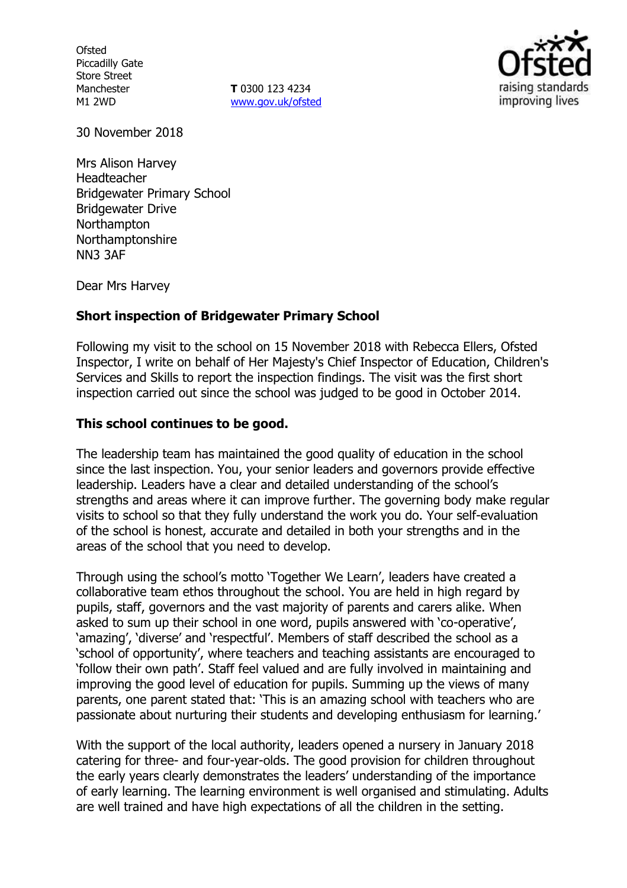**Ofsted** Piccadilly Gate Store Street Manchester M1 2WD

**T** 0300 123 4234 www.gov.uk/ofsted



30 November 2018

Mrs Alison Harvey Headteacher Bridgewater Primary School Bridgewater Drive Northampton Northamptonshire NN3 3AF

Dear Mrs Harvey

#### **Short inspection of Bridgewater Primary School**

Following my visit to the school on 15 November 2018 with Rebecca Ellers, Ofsted Inspector, I write on behalf of Her Majesty's Chief Inspector of Education, Children's Services and Skills to report the inspection findings. The visit was the first short inspection carried out since the school was judged to be good in October 2014.

#### **This school continues to be good.**

The leadership team has maintained the good quality of education in the school since the last inspection. You, your senior leaders and governors provide effective leadership. Leaders have a clear and detailed understanding of the school's strengths and areas where it can improve further. The governing body make regular visits to school so that they fully understand the work you do. Your self-evaluation of the school is honest, accurate and detailed in both your strengths and in the areas of the school that you need to develop.

Through using the school's motto 'Together We Learn', leaders have created a collaborative team ethos throughout the school. You are held in high regard by pupils, staff, governors and the vast majority of parents and carers alike. When asked to sum up their school in one word, pupils answered with 'co-operative', 'amazing', 'diverse' and 'respectful'. Members of staff described the school as a 'school of opportunity', where teachers and teaching assistants are encouraged to 'follow their own path'. Staff feel valued and are fully involved in maintaining and improving the good level of education for pupils. Summing up the views of many parents, one parent stated that: 'This is an amazing school with teachers who are passionate about nurturing their students and developing enthusiasm for learning.'

With the support of the local authority, leaders opened a nursery in January 2018 catering for three- and four-year-olds. The good provision for children throughout the early years clearly demonstrates the leaders' understanding of the importance of early learning. The learning environment is well organised and stimulating. Adults are well trained and have high expectations of all the children in the setting.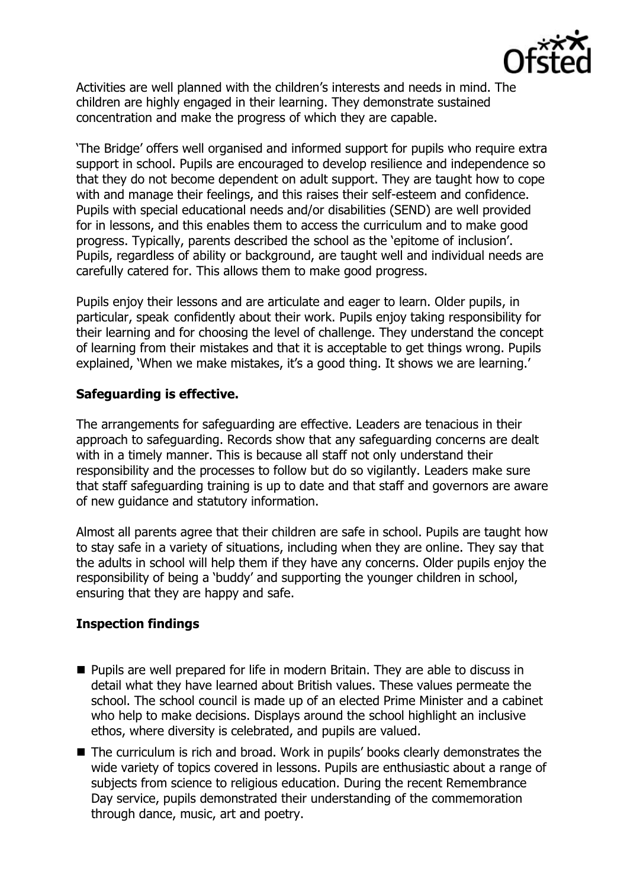

Activities are well planned with the children's interests and needs in mind. The children are highly engaged in their learning. They demonstrate sustained concentration and make the progress of which they are capable.

'The Bridge' offers well organised and informed support for pupils who require extra support in school. Pupils are encouraged to develop resilience and independence so that they do not become dependent on adult support. They are taught how to cope with and manage their feelings, and this raises their self-esteem and confidence. Pupils with special educational needs and/or disabilities (SEND) are well provided for in lessons, and this enables them to access the curriculum and to make good progress. Typically, parents described the school as the 'epitome of inclusion'. Pupils, regardless of ability or background, are taught well and individual needs are carefully catered for. This allows them to make good progress.

Pupils enjoy their lessons and are articulate and eager to learn. Older pupils, in particular, speak confidently about their work. Pupils enjoy taking responsibility for their learning and for choosing the level of challenge. They understand the concept of learning from their mistakes and that it is acceptable to get things wrong. Pupils explained, 'When we make mistakes, it's a good thing. It shows we are learning.'

# **Safeguarding is effective.**

The arrangements for safeguarding are effective. Leaders are tenacious in their approach to safeguarding. Records show that any safeguarding concerns are dealt with in a timely manner. This is because all staff not only understand their responsibility and the processes to follow but do so vigilantly. Leaders make sure that staff safeguarding training is up to date and that staff and governors are aware of new guidance and statutory information.

Almost all parents agree that their children are safe in school. Pupils are taught how to stay safe in a variety of situations, including when they are online. They say that the adults in school will help them if they have any concerns. Older pupils enjoy the responsibility of being a 'buddy' and supporting the younger children in school, ensuring that they are happy and safe.

### **Inspection findings**

- **Pupils are well prepared for life in modern Britain. They are able to discuss in** detail what they have learned about British values. These values permeate the school. The school council is made up of an elected Prime Minister and a cabinet who help to make decisions. Displays around the school highlight an inclusive ethos, where diversity is celebrated, and pupils are valued.
- The curriculum is rich and broad. Work in pupils' books clearly demonstrates the wide variety of topics covered in lessons. Pupils are enthusiastic about a range of subjects from science to religious education. During the recent Remembrance Day service, pupils demonstrated their understanding of the commemoration through dance, music, art and poetry.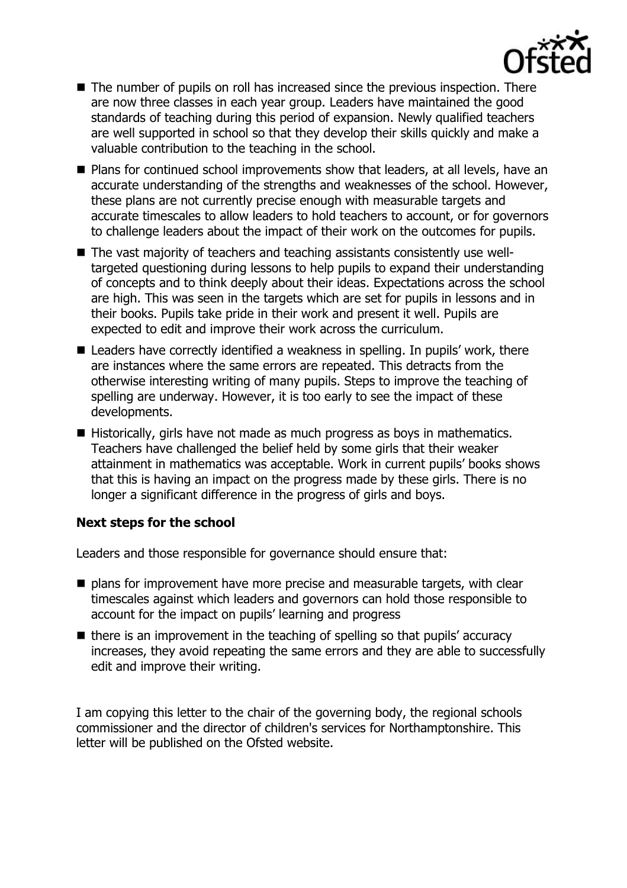

- The number of pupils on roll has increased since the previous inspection. There are now three classes in each year group. Leaders have maintained the good standards of teaching during this period of expansion. Newly qualified teachers are well supported in school so that they develop their skills quickly and make a valuable contribution to the teaching in the school.
- Plans for continued school improvements show that leaders, at all levels, have an accurate understanding of the strengths and weaknesses of the school. However, these plans are not currently precise enough with measurable targets and accurate timescales to allow leaders to hold teachers to account, or for governors to challenge leaders about the impact of their work on the outcomes for pupils.
- The vast majority of teachers and teaching assistants consistently use welltargeted questioning during lessons to help pupils to expand their understanding of concepts and to think deeply about their ideas. Expectations across the school are high. This was seen in the targets which are set for pupils in lessons and in their books. Pupils take pride in their work and present it well. Pupils are expected to edit and improve their work across the curriculum.
- Leaders have correctly identified a weakness in spelling. In pupils' work, there are instances where the same errors are repeated. This detracts from the otherwise interesting writing of many pupils. Steps to improve the teaching of spelling are underway. However, it is too early to see the impact of these developments.
- Historically, girls have not made as much progress as boys in mathematics. Teachers have challenged the belief held by some girls that their weaker attainment in mathematics was acceptable. Work in current pupils' books shows that this is having an impact on the progress made by these girls. There is no longer a significant difference in the progress of girls and boys.

### **Next steps for the school**

Leaders and those responsible for governance should ensure that:

- $\blacksquare$  plans for improvement have more precise and measurable targets, with clear timescales against which leaders and governors can hold those responsible to account for the impact on pupils' learning and progress
- $\blacksquare$  there is an improvement in the teaching of spelling so that pupils' accuracy increases, they avoid repeating the same errors and they are able to successfully edit and improve their writing.

I am copying this letter to the chair of the governing body, the regional schools commissioner and the director of children's services for Northamptonshire. This letter will be published on the Ofsted website.